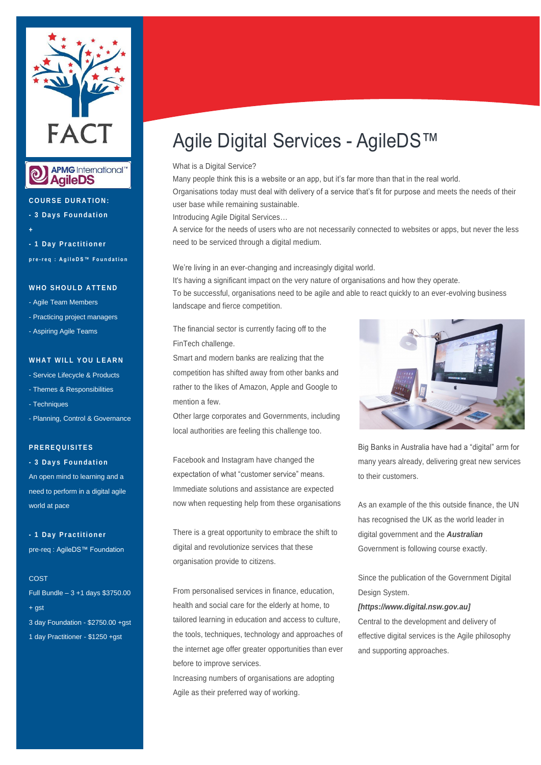



**C O U R S E D U R A T I O N :**

**- 3 D a y s F o u n d a t i o n**

**+ - 1 D a y P r a c t i t i o n e r p r e - r e q : A g i l e D S ™ F o u n d a t i o n**

#### **WHO SHOULD ATTEND**

- Agile Team Members
- Practicing project managers
- Aspiring Agile Teams

#### **WHAT WILL YOU LEARN**

- Service Lifecycle & Products
- Themes & Responsibilities
- Techniques
- Planning, Control & Governance

# **P R E R E Q U I S I T E S**

**- 3 D a y s F o u n d a t i o n**

An open mind to learning and a need to perform in a digital agile world at pace

**- 1 D a y P r a c t i t i o n e r**  pre-req : AgileDS™ Foundation

#### **COST**

Full Bundle – 3 +1 days \$3750.00 + gst 3 day Foundation - \$2750.00 +gst 1 day Practitioner - \$1250 +gst

# Agile Digital Services - AgileDS™

## What is a Digital Service?

Many people think this is a website or an app, but it's far more than that in the real world. Organisations today must deal with delivery of a service that's fit for purpose and meets the needs of their user base while remaining sustainable.

Introducing Agile Digital Services…

A service for the needs of users who are not necessarily connected to websites or apps, but never the less need to be serviced through a digital medium.

We're living in an ever-changing and increasingly digital world.

It's having a significant impact on the very nature of organisations and how they operate.

To be successful, organisations need to be agile and able to react quickly to an ever-evolving business landscape and fierce competition.

The financial sector is currently facing off to the FinTech challenge.

Smart and modern banks are realizing that the competition has shifted away from other banks and rather to the likes of Amazon, Apple and Google to mention a few.

Other large corporates and Governments, including local authorities are feeling this challenge too.

Facebook and Instagram have changed the expectation of what "customer service" means. Immediate solutions and assistance are expected now when requesting help from these organisations

There is a great opportunity to embrace the shift to digital and revolutionize services that these organisation provide to citizens.

From personalised services in finance, education, health and social care for the elderly at home, to tailored learning in education and access to culture, the tools, techniques, technology and approaches of the internet age offer greater opportunities than ever before to improve services.

Increasing numbers of organisations are adopting Agile as their preferred way of working.



Big Banks in Australia have had a "digital" arm for many years already, delivering great new services to their customers.

As an example of the this outside finance, the UN has recognised the UK as the world leader in digital government and the *Australian* Government is following course exactly.

Since the publication of the Government Digital Design System.

#### *[https://www.digital.nsw.gov.au]*

Central to the development and delivery of effective digital services is the Agile philosophy and supporting approaches.